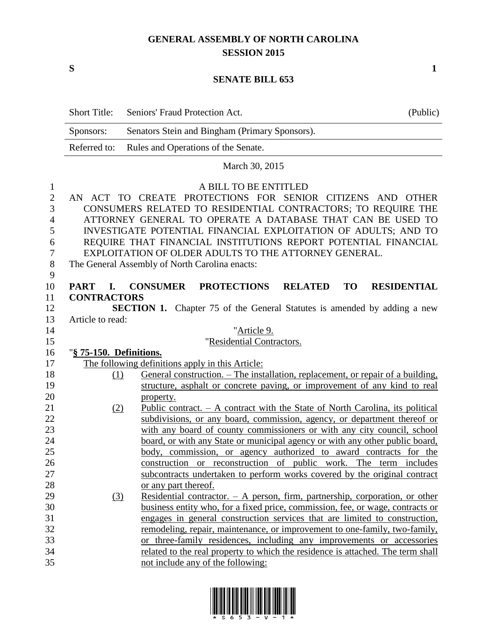## **GENERAL ASSEMBLY OF NORTH CAROLINA SESSION 2015**

**S 1**

## **SENATE BILL 653**

|                     | <b>Short Title:</b>                                            | Seniors' Fraud Protection Act.                                                               | (Public)           |  |  |  |
|---------------------|----------------------------------------------------------------|----------------------------------------------------------------------------------------------|--------------------|--|--|--|
|                     | Sponsors:                                                      | Senators Stein and Bingham (Primary Sponsors).                                               |                    |  |  |  |
|                     | Referred to:                                                   | Rules and Operations of the Senate.                                                          |                    |  |  |  |
|                     |                                                                | March 30, 2015                                                                               |                    |  |  |  |
|                     |                                                                |                                                                                              |                    |  |  |  |
| 1                   |                                                                | A BILL TO BE ENTITLED<br>AN ACT TO CREATE PROTECTIONS FOR SENIOR CITIZENS AND OTHER          |                    |  |  |  |
| $\mathfrak{2}$<br>3 |                                                                | CONSUMERS RELATED TO RESIDENTIAL CONTRACTORS; TO REQUIRE THE                                 |                    |  |  |  |
| 4                   |                                                                | ATTORNEY GENERAL TO OPERATE A DATABASE THAT CAN BE USED TO                                   |                    |  |  |  |
| 5                   | INVESTIGATE POTENTIAL FINANCIAL EXPLOITATION OF ADULTS; AND TO |                                                                                              |                    |  |  |  |
| 6                   | REQUIRE THAT FINANCIAL INSTITUTIONS REPORT POTENTIAL FINANCIAL |                                                                                              |                    |  |  |  |
| 7                   |                                                                | EXPLOITATION OF OLDER ADULTS TO THE ATTORNEY GENERAL.                                        |                    |  |  |  |
| 8                   |                                                                | The General Assembly of North Carolina enacts:                                               |                    |  |  |  |
| 9                   |                                                                |                                                                                              |                    |  |  |  |
| 10                  | <b>PART</b><br>I.                                              | <b>PROTECTIONS</b><br><b>CONSUMER</b><br><b>RELATED</b><br><b>TO</b>                         | <b>RESIDENTIAL</b> |  |  |  |
| 11                  | <b>CONTRACTORS</b>                                             |                                                                                              |                    |  |  |  |
| 12                  |                                                                | <b>SECTION 1.</b> Chapter 75 of the General Statutes is amended by adding a new              |                    |  |  |  |
| 13                  | Article to read:                                               |                                                                                              |                    |  |  |  |
| 14                  |                                                                | "Article 9.                                                                                  |                    |  |  |  |
| 15                  |                                                                | "Residential Contractors.                                                                    |                    |  |  |  |
| 16                  | "§ 75-150. Definitions.                                        |                                                                                              |                    |  |  |  |
| 17                  |                                                                | The following definitions apply in this Article:                                             |                    |  |  |  |
| 18                  | (1)                                                            | General construction. – The installation, replacement, or repair of a building,              |                    |  |  |  |
| 19                  |                                                                | structure, asphalt or concrete paving, or improvement of any kind to real                    |                    |  |  |  |
| 20<br>21            | (2)                                                            | property.<br>Public contract. $- A$ contract with the State of North Carolina, its political |                    |  |  |  |
| 22                  |                                                                | subdivisions, or any board, commission, agency, or department thereof or                     |                    |  |  |  |
| 23                  |                                                                | with any board of county commissioners or with any city council, school                      |                    |  |  |  |
| 24                  |                                                                | board, or with any State or municipal agency or with any other public board,                 |                    |  |  |  |
| 25                  |                                                                | body, commission, or agency authorized to award contracts for the                            |                    |  |  |  |
| 26                  |                                                                | construction or reconstruction of public work. The term includes                             |                    |  |  |  |
| 27                  |                                                                | subcontracts undertaken to perform works covered by the original contract                    |                    |  |  |  |
| 28                  |                                                                | or any part thereof.                                                                         |                    |  |  |  |
| 29                  | (3)                                                            | Residential contractor. $-$ A person, firm, partnership, corporation, or other               |                    |  |  |  |
| 30                  |                                                                | business entity who, for a fixed price, commission, fee, or wage, contracts or               |                    |  |  |  |
| 31                  |                                                                | engages in general construction services that are limited to construction,                   |                    |  |  |  |
| 32                  |                                                                | remodeling, repair, maintenance, or improvement to one-family, two-family,                   |                    |  |  |  |
| 33                  |                                                                | or three-family residences, including any improvements or accessories                        |                    |  |  |  |
| 34                  |                                                                | related to the real property to which the residence is attached. The term shall              |                    |  |  |  |
| 35                  |                                                                | not include any of the following:                                                            |                    |  |  |  |

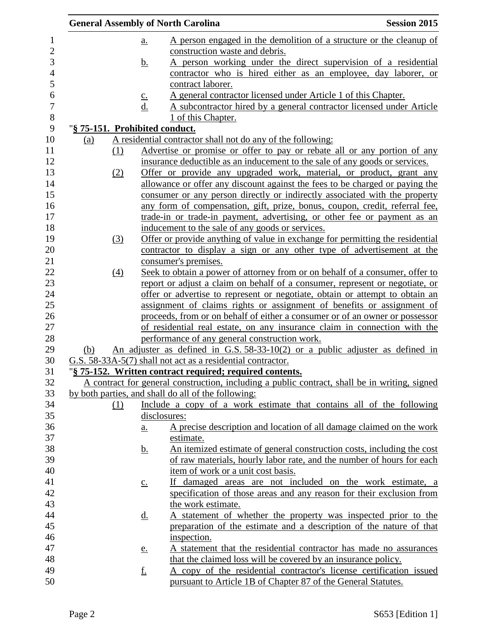|            |                                |                   | <b>General Assembly of North Carolina</b>                                                                                            | <b>Session 2015</b> |
|------------|--------------------------------|-------------------|--------------------------------------------------------------------------------------------------------------------------------------|---------------------|
|            |                                | <u>a.</u>         | A person engaged in the demolition of a structure or the cleanup of                                                                  |                     |
|            |                                |                   | construction waste and debris.                                                                                                       |                     |
|            |                                | <u>b.</u>         | A person working under the direct supervision of a residential                                                                       |                     |
|            |                                |                   | contractor who is hired either as an employee, day laborer, or                                                                       |                     |
|            |                                |                   | contract laborer.                                                                                                                    |                     |
|            |                                | $\underline{c}$ . | A general contractor licensed under Article 1 of this Chapter.                                                                       |                     |
|            |                                | d.                | A subcontractor hired by a general contractor licensed under Article                                                                 |                     |
|            |                                |                   | 1 of this Chapter.                                                                                                                   |                     |
|            | "§ 75-151. Prohibited conduct. |                   |                                                                                                                                      |                     |
| <u>(a)</u> |                                |                   | A residential contractor shall not do any of the following:                                                                          |                     |
|            | (1)                            |                   | Advertise or promise or offer to pay or rebate all or any portion of any                                                             |                     |
|            |                                |                   | insurance deductible as an inducement to the sale of any goods or services.                                                          |                     |
|            | (2)                            |                   | Offer or provide any upgraded work, material, or product, grant any                                                                  |                     |
|            |                                |                   | allowance or offer any discount against the fees to be charged or paying the                                                         |                     |
|            |                                |                   | consumer or any person directly or indirectly associated with the property                                                           |                     |
|            |                                |                   | any form of compensation, gift, prize, bonus, coupon, credit, referral fee,                                                          |                     |
|            |                                |                   | trade-in or trade-in payment, advertising, or other fee or payment as an                                                             |                     |
|            | (3)                            |                   | inducement to the sale of any goods or services.<br>Offer or provide anything of value in exchange for permitting the residential    |                     |
|            |                                |                   | contractor to display a sign or any other type of advertisement at the                                                               |                     |
|            |                                |                   | consumer's premises.                                                                                                                 |                     |
|            | $\Delta$                       |                   | Seek to obtain a power of attorney from or on behalf of a consumer, offer to                                                         |                     |
|            |                                |                   | report or adjust a claim on behalf of a consumer, represent or negotiate, or                                                         |                     |
|            |                                |                   | offer or advertise to represent or negotiate, obtain or attempt to obtain an                                                         |                     |
|            |                                |                   | assignment of claims rights or assignment of benefits or assignment of                                                               |                     |
|            |                                |                   | proceeds, from or on behalf of either a consumer or of an owner or possessor                                                         |                     |
|            |                                |                   | of residential real estate, on any insurance claim in connection with the                                                            |                     |
|            |                                |                   | performance of any general construction work.                                                                                        |                     |
| (b)        |                                |                   | An adjuster as defined in G.S. $58-33-10(2)$ or a public adjuster as defined in                                                      |                     |
|            |                                |                   | G.S. 58-33A-5(7) shall not act as a residential contractor.                                                                          |                     |
|            |                                |                   | "§ 75-152. Written contract required; required contents.                                                                             |                     |
|            |                                |                   | A contract for general construction, including a public contract, shall be in writing, signed                                        |                     |
|            |                                |                   | by both parties, and shall do all of the following:                                                                                  |                     |
|            | (1)                            |                   | Include a copy of a work estimate that contains all of the following                                                                 |                     |
|            |                                | disclosures:      |                                                                                                                                      |                     |
|            |                                | <u>a.</u>         | A precise description and location of all damage claimed on the work                                                                 |                     |
|            |                                |                   | estimate.                                                                                                                            |                     |
|            |                                | <u>b.</u>         | An itemized estimate of general construction costs, including the cost                                                               |                     |
|            |                                |                   | of raw materials, hourly labor rate, and the number of hours for each                                                                |                     |
|            |                                |                   | item of work or a unit cost basis.                                                                                                   |                     |
|            |                                | $\underline{c}$ . | If damaged areas are not included on the work estimate, a                                                                            |                     |
|            |                                |                   | specification of those areas and any reason for their exclusion from                                                                 |                     |
|            |                                |                   | the work estimate.                                                                                                                   |                     |
|            |                                | <u>d.</u>         | <u>A statement of whether the property was inspected prior to the</u>                                                                |                     |
|            |                                |                   | preparation of the estimate and a description of the nature of that                                                                  |                     |
|            |                                |                   | inspection.                                                                                                                          |                     |
|            |                                | <u>e.</u>         | A statement that the residential contractor has made no assurances                                                                   |                     |
|            |                                | <u>f.</u>         | that the claimed loss will be covered by an insurance policy.<br>A copy of the residential contractor's license certification issued |                     |
|            |                                |                   | pursuant to Article 1B of Chapter 87 of the General Statutes.                                                                        |                     |
|            |                                |                   |                                                                                                                                      |                     |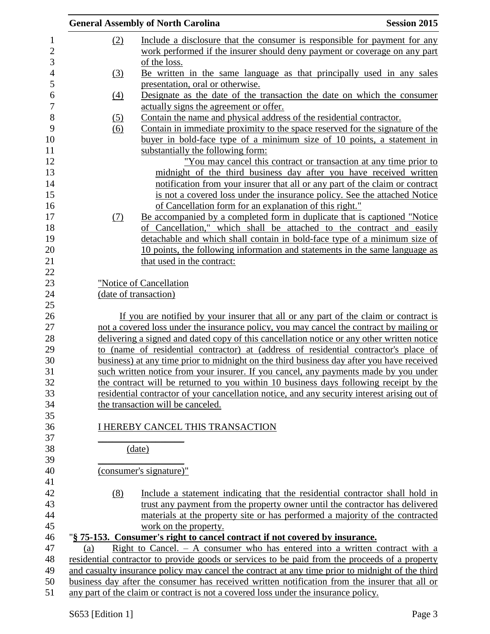|                   | <b>General Assembly of North Carolina</b>                                                                                                                                                                                       | <b>Session 2015</b> |
|-------------------|---------------------------------------------------------------------------------------------------------------------------------------------------------------------------------------------------------------------------------|---------------------|
| <u>(2)</u>        | <u>Include a disclosure that the consumer is responsible for payment for any</u><br>work performed if the insurer should deny payment or coverage on any part<br>of the loss.                                                   |                     |
| (3)               | Be written in the same language as that principally used in any sales                                                                                                                                                           |                     |
| $\left(4\right)$  | presentation, oral or otherwise.<br>Designate as the date of the transaction the date on which the consumer                                                                                                                     |                     |
|                   | actually signs the agreement or offer.                                                                                                                                                                                          |                     |
| <u>(5)</u><br>(6) | Contain the name and physical address of the residential contractor.<br>Contain in immediate proximity to the space reserved for the signature of the<br>buyer in bold-face type of a minimum size of 10 points, a statement in |                     |
|                   | substantially the following form:                                                                                                                                                                                               |                     |
|                   | "You may cancel this contract or transaction at any time prior to                                                                                                                                                               |                     |
|                   | midnight of the third business day after you have received written                                                                                                                                                              |                     |
|                   | notification from your insurer that all or any part of the claim or contract                                                                                                                                                    |                     |
|                   | is not a covered loss under the insurance policy. See the attached Notice                                                                                                                                                       |                     |
|                   | of Cancellation form for an explanation of this right."                                                                                                                                                                         |                     |
| (7)               | Be accompanied by a completed form in duplicate that is captioned "Notice"                                                                                                                                                      |                     |
|                   | of Cancellation," which shall be attached to the contract and easily                                                                                                                                                            |                     |
|                   | detachable and which shall contain in bold-face type of a minimum size of                                                                                                                                                       |                     |
|                   | 10 points, the following information and statements in the same language as                                                                                                                                                     |                     |
|                   | that used in the contract:                                                                                                                                                                                                      |                     |
|                   |                                                                                                                                                                                                                                 |                     |
|                   | "Notice of Cancellation                                                                                                                                                                                                         |                     |
|                   | (date of transaction)                                                                                                                                                                                                           |                     |
|                   | If you are notified by your insurer that all or any part of the claim or contract is                                                                                                                                            |                     |
|                   | not a covered loss under the insurance policy, you may cancel the contract by mailing or                                                                                                                                        |                     |
|                   | delivering a signed and dated copy of this cancellation notice or any other written notice                                                                                                                                      |                     |
|                   | to (name of residential contractor) at (address of residential contractor's place of                                                                                                                                            |                     |
|                   | business) at any time prior to midnight on the third business day after you have received                                                                                                                                       |                     |
|                   | such written notice from your insurer. If you cancel, any payments made by you under                                                                                                                                            |                     |
|                   | the contract will be returned to you within 10 business days following receipt by the                                                                                                                                           |                     |
|                   | residential contractor of your cancellation notice, and any security interest arising out of                                                                                                                                    |                     |
|                   | the transaction will be canceled.                                                                                                                                                                                               |                     |
|                   |                                                                                                                                                                                                                                 |                     |
|                   | I HEREBY CANCEL THIS TRANSACTION                                                                                                                                                                                                |                     |
|                   |                                                                                                                                                                                                                                 |                     |
|                   | (date)                                                                                                                                                                                                                          |                     |
|                   |                                                                                                                                                                                                                                 |                     |
|                   | (consumer's signature)"                                                                                                                                                                                                         |                     |
|                   |                                                                                                                                                                                                                                 |                     |
| (8)               | Include a statement indicating that the residential contractor shall hold in                                                                                                                                                    |                     |
|                   | trust any payment from the property owner until the contractor has delivered                                                                                                                                                    |                     |
|                   | materials at the property site or has performed a majority of the contracted                                                                                                                                                    |                     |
|                   | work on the property.                                                                                                                                                                                                           |                     |
| (a)               | "§ 75-153. Consumer's right to cancel contract if not covered by insurance.<br><u>Right to Cancel. <math>-</math> A consumer who has entered into a written contract</u> with a                                                 |                     |
|                   | residential contractor to provide goods or services to be paid from the proceeds of a property                                                                                                                                  |                     |
|                   | and casualty insurance policy may cancel the contract at any time prior to midnight of the third                                                                                                                                |                     |
|                   | business day after the consumer has received written notification from the insurer that all or                                                                                                                                  |                     |
|                   | any part of the claim or contract is not a covered loss under the insurance policy.                                                                                                                                             |                     |
|                   |                                                                                                                                                                                                                                 |                     |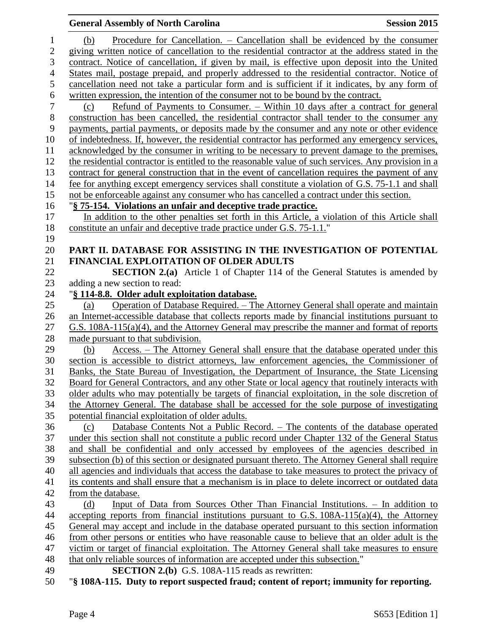## **General Assembly of North Carolina Session 2015**  (b) Procedure for Cancellation. – Cancellation shall be evidenced by the consumer giving written notice of cancellation to the residential contractor at the address stated in the contract. Notice of cancellation, if given by mail, is effective upon deposit into the United States mail, postage prepaid, and properly addressed to the residential contractor. Notice of cancellation need not take a particular form and is sufficient if it indicates, by any form of 6 written expression, the intention of the consumer not to be bound by the contract.<br>
(c) Refund of Payments to Consumer. – Within 10 days after a contract (c) Refund of Payments to Consumer. – Within 10 days after a contract for general construction has been cancelled, the residential contractor shall tender to the consumer any payments, partial payments, or deposits made by the consumer and any note or other evidence of indebtedness. If, however, the residential contractor has performed any emergency services, acknowledged by the consumer in writing to be necessary to prevent damage to the premises, the residential contractor is entitled to the reasonable value of such services. Any provision in a contract for general construction that in the event of cancellation requires the payment of any fee for anything except emergency services shall constitute a violation of G.S. 75-1.1 and shall not be enforceable against any consumer who has cancelled a contract under this section. "**§ 75-154. Violations an unfair and deceptive trade practice.** In addition to the other penalties set forth in this Article, a violation of this Article shall 18 constitute an unfair and deceptive trade practice under G.S. 75-1.1." **PART II. DATABASE FOR ASSISTING IN THE INVESTIGATION OF POTENTIAL FINANCIAL EXPLOITATION OF OLDER ADULTS SECTION 2.(a)** Article 1 of Chapter 114 of the General Statutes is amended by adding a new section to read: "**§ 114-8.8. Older adult exploitation database.** (a) Operation of Database Required. – The Attorney General shall operate and maintain an Internet-accessible database that collects reports made by financial institutions pursuant to G.S. 108A-115(a)(4), and the Attorney General may prescribe the manner and format of reports made pursuant to that subdivision. (b) Access. – The Attorney General shall ensure that the database operated under this section is accessible to district attorneys, law enforcement agencies, the Commissioner of Banks, the State Bureau of Investigation, the Department of Insurance, the State Licensing Board for General Contractors, and any other State or local agency that routinely interacts with older adults who may potentially be targets of financial exploitation, in the sole discretion of the Attorney General. The database shall be accessed for the sole purpose of investigating potential financial exploitation of older adults. (c) Database Contents Not a Public Record. – The contents of the database operated under this section shall not constitute a public record under Chapter 132 of the General Status and shall be confidential and only accessed by employees of the agencies described in subsection (b) of this section or designated pursuant thereto. The Attorney General shall require all agencies and individuals that access the database to take measures to protect the privacy of its contents and shall ensure that a mechanism is in place to delete incorrect or outdated data from the database. (d) Input of Data from Sources Other Than Financial Institutions. – In addition to accepting reports from financial institutions pursuant to G.S. 108A-115(a)(4), the Attorney General may accept and include in the database operated pursuant to this section information from other persons or entities who have reasonable cause to believe that an older adult is the victim or target of financial exploitation. The Attorney General shall take measures to ensure that only reliable sources of information are accepted under this subsection." **SECTION 2.(b)** G.S. 108A-115 reads as rewritten: